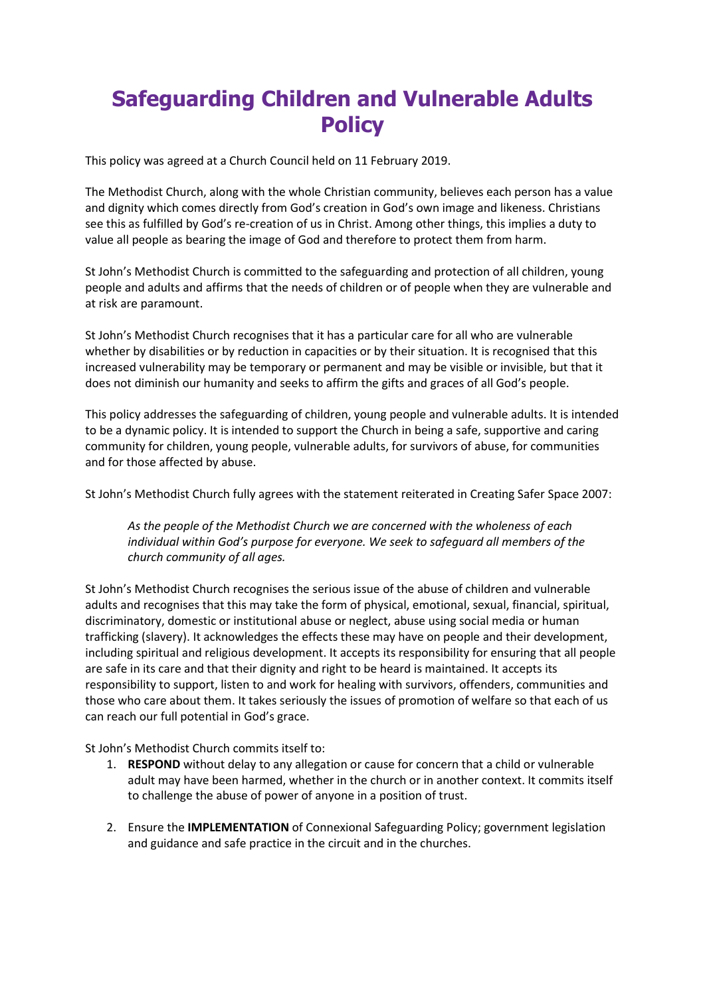# Safeguarding Children and Vulnerable Adults **Policy**

This policy was agreed at a Church Council held on 11 February 2019.

The Methodist Church, along with the whole Christian community, believes each person has a value and dignity which comes directly from God's creation in God's own image and likeness. Christians see this as fulfilled by God's re-creation of us in Christ. Among other things, this implies a duty to value all people as bearing the image of God and therefore to protect them from harm.

St John's Methodist Church is committed to the safeguarding and protection of all children, young people and adults and affirms that the needs of children or of people when they are vulnerable and at risk are paramount.

St John's Methodist Church recognises that it has a particular care for all who are vulnerable whether by disabilities or by reduction in capacities or by their situation. It is recognised that this increased vulnerability may be temporary or permanent and may be visible or invisible, but that it does not diminish our humanity and seeks to affirm the gifts and graces of all God's people.

This policy addresses the safeguarding of children, young people and vulnerable adults. It is intended to be a dynamic policy. It is intended to support the Church in being a safe, supportive and caring community for children, young people, vulnerable adults, for survivors of abuse, for communities and for those affected by abuse.

St John's Methodist Church fully agrees with the statement reiterated in Creating Safer Space 2007:

As the people of the Methodist Church we are concerned with the wholeness of each individual within God's purpose for everyone. We seek to safeguard all members of the church community of all ages.

St John's Methodist Church recognises the serious issue of the abuse of children and vulnerable adults and recognises that this may take the form of physical, emotional, sexual, financial, spiritual, discriminatory, domestic or institutional abuse or neglect, abuse using social media or human trafficking (slavery). It acknowledges the effects these may have on people and their development, including spiritual and religious development. It accepts its responsibility for ensuring that all people are safe in its care and that their dignity and right to be heard is maintained. It accepts its responsibility to support, listen to and work for healing with survivors, offenders, communities and those who care about them. It takes seriously the issues of promotion of welfare so that each of us can reach our full potential in God's grace.

St John's Methodist Church commits itself to:

- 1. RESPOND without delay to any allegation or cause for concern that a child or vulnerable adult may have been harmed, whether in the church or in another context. It commits itself to challenge the abuse of power of anyone in a position of trust.
- 2. Ensure the IMPLEMENTATION of Connexional Safeguarding Policy; government legislation and guidance and safe practice in the circuit and in the churches.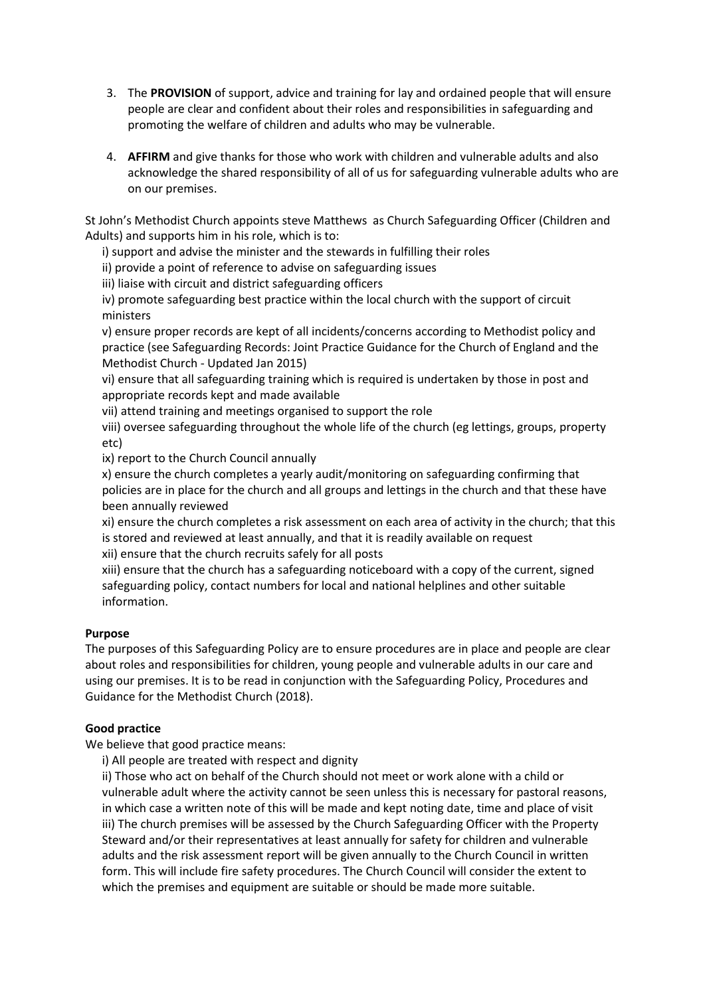- 3. The PROVISION of support, advice and training for lay and ordained people that will ensure people are clear and confident about their roles and responsibilities in safeguarding and promoting the welfare of children and adults who may be vulnerable.
- 4. AFFIRM and give thanks for those who work with children and vulnerable adults and also acknowledge the shared responsibility of all of us for safeguarding vulnerable adults who are on our premises.

St John's Methodist Church appoints steve Matthews as Church Safeguarding Officer (Children and Adults) and supports him in his role, which is to:

i) support and advise the minister and the stewards in fulfilling their roles

ii) provide a point of reference to advise on safeguarding issues

iii) liaise with circuit and district safeguarding officers

iv) promote safeguarding best practice within the local church with the support of circuit ministers

v) ensure proper records are kept of all incidents/concerns according to Methodist policy and practice (see Safeguarding Records: Joint Practice Guidance for the Church of England and the Methodist Church - Updated Jan 2015)

vi) ensure that all safeguarding training which is required is undertaken by those in post and appropriate records kept and made available

vii) attend training and meetings organised to support the role

viii) oversee safeguarding throughout the whole life of the church (eg lettings, groups, property etc)

ix) report to the Church Council annually

x) ensure the church completes a yearly audit/monitoring on safeguarding confirming that policies are in place for the church and all groups and lettings in the church and that these have been annually reviewed

xi) ensure the church completes a risk assessment on each area of activity in the church; that this is stored and reviewed at least annually, and that it is readily available on request xii) ensure that the church recruits safely for all posts

xiii) ensure that the church has a safeguarding noticeboard with a copy of the current, signed safeguarding policy, contact numbers for local and national helplines and other suitable information.

# Purpose

The purposes of this Safeguarding Policy are to ensure procedures are in place and people are clear about roles and responsibilities for children, young people and vulnerable adults in our care and using our premises. It is to be read in conjunction with the Safeguarding Policy, Procedures and Guidance for the Methodist Church (2018).

## Good practice

We believe that good practice means:

i) All people are treated with respect and dignity

ii) Those who act on behalf of the Church should not meet or work alone with a child or vulnerable adult where the activity cannot be seen unless this is necessary for pastoral reasons, in which case a written note of this will be made and kept noting date, time and place of visit iii) The church premises will be assessed by the Church Safeguarding Officer with the Property Steward and/or their representatives at least annually for safety for children and vulnerable adults and the risk assessment report will be given annually to the Church Council in written form. This will include fire safety procedures. The Church Council will consider the extent to which the premises and equipment are suitable or should be made more suitable.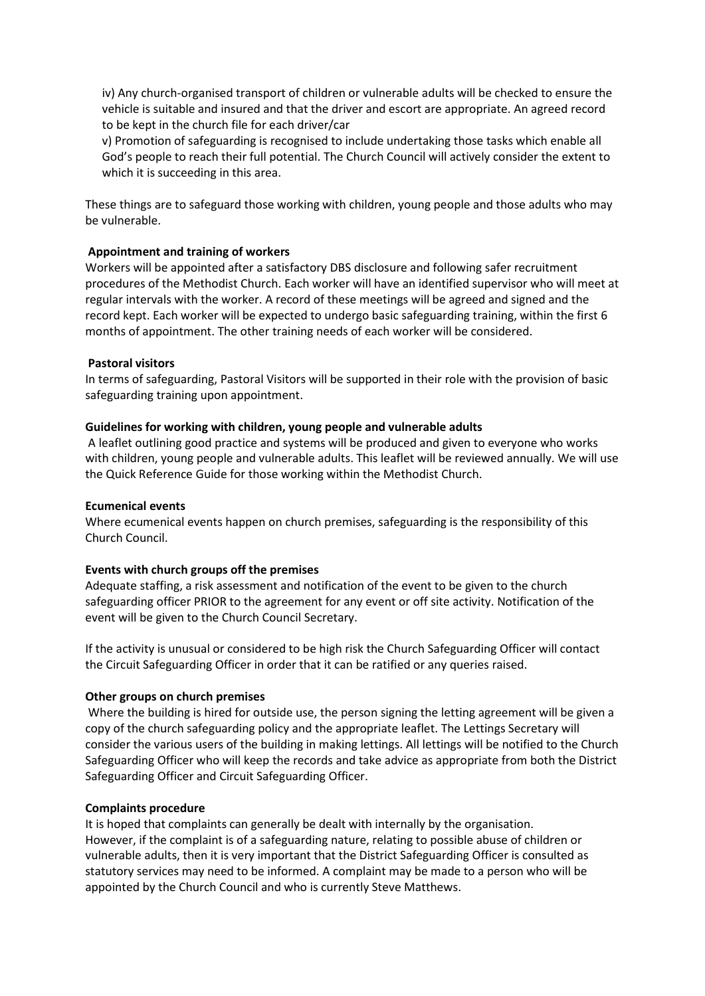iv) Any church-organised transport of children or vulnerable adults will be checked to ensure the vehicle is suitable and insured and that the driver and escort are appropriate. An agreed record to be kept in the church file for each driver/car

v) Promotion of safeguarding is recognised to include undertaking those tasks which enable all God's people to reach their full potential. The Church Council will actively consider the extent to which it is succeeding in this area.

These things are to safeguard those working with children, young people and those adults who may be vulnerable.

## Appointment and training of workers

Workers will be appointed after a satisfactory DBS disclosure and following safer recruitment procedures of the Methodist Church. Each worker will have an identified supervisor who will meet at regular intervals with the worker. A record of these meetings will be agreed and signed and the record kept. Each worker will be expected to undergo basic safeguarding training, within the first 6 months of appointment. The other training needs of each worker will be considered.

#### Pastoral visitors

In terms of safeguarding, Pastoral Visitors will be supported in their role with the provision of basic safeguarding training upon appointment.

#### Guidelines for working with children, young people and vulnerable adults

 A leaflet outlining good practice and systems will be produced and given to everyone who works with children, young people and vulnerable adults. This leaflet will be reviewed annually. We will use the Quick Reference Guide for those working within the Methodist Church.

## Ecumenical events

Where ecumenical events happen on church premises, safeguarding is the responsibility of this Church Council.

## Events with church groups off the premises

Adequate staffing, a risk assessment and notification of the event to be given to the church safeguarding officer PRIOR to the agreement for any event or off site activity. Notification of the event will be given to the Church Council Secretary.

If the activity is unusual or considered to be high risk the Church Safeguarding Officer will contact the Circuit Safeguarding Officer in order that it can be ratified or any queries raised.

#### Other groups on church premises

 Where the building is hired for outside use, the person signing the letting agreement will be given a copy of the church safeguarding policy and the appropriate leaflet. The Lettings Secretary will consider the various users of the building in making lettings. All lettings will be notified to the Church Safeguarding Officer who will keep the records and take advice as appropriate from both the District Safeguarding Officer and Circuit Safeguarding Officer.

#### Complaints procedure

It is hoped that complaints can generally be dealt with internally by the organisation. However, if the complaint is of a safeguarding nature, relating to possible abuse of children or vulnerable adults, then it is very important that the District Safeguarding Officer is consulted as statutory services may need to be informed. A complaint may be made to a person who will be appointed by the Church Council and who is currently Steve Matthews.